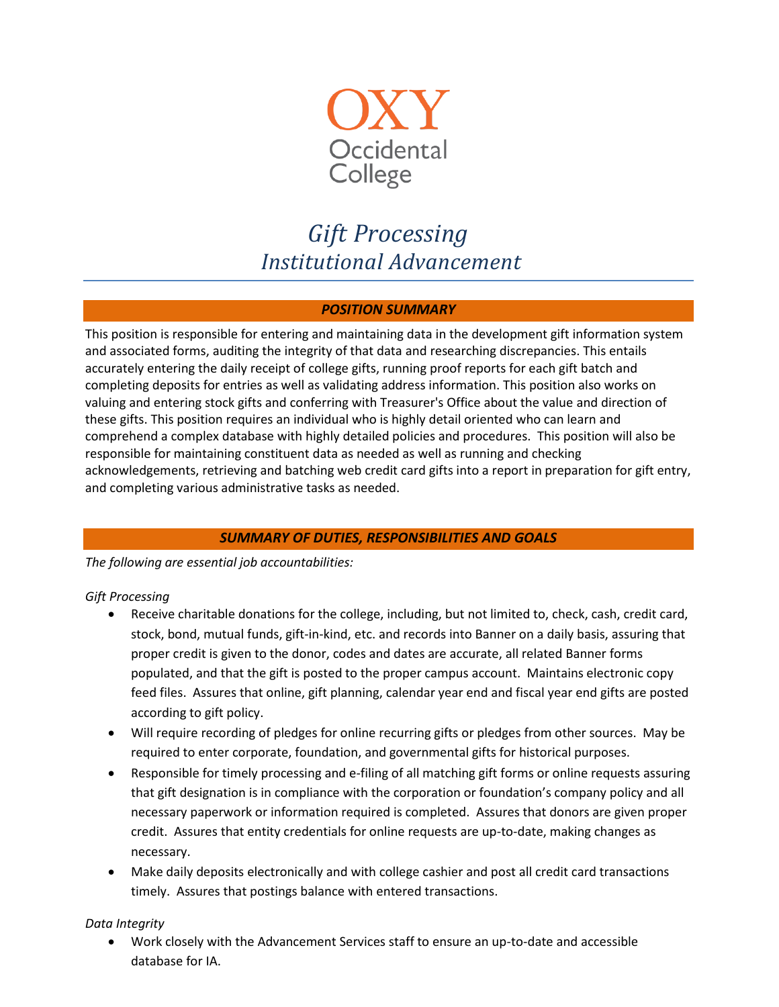

# *Gift Processing Institutional Advancement*

## *POSITION SUMMARY*

This position is responsible for entering and maintaining data in the development gift information system and associated forms, auditing the integrity of that data and researching discrepancies. This entails accurately entering the daily receipt of college gifts, running proof reports for each gift batch and completing deposits for entries as well as validating address information. This position also works on valuing and entering stock gifts and conferring with Treasurer's Office about the value and direction of these gifts. This position requires an individual who is highly detail oriented who can learn and comprehend a complex database with highly detailed policies and procedures. This position will also be responsible for maintaining constituent data as needed as well as running and checking acknowledgements, retrieving and batching web credit card gifts into a report in preparation for gift entry, and completing various administrative tasks as needed.

# *SUMMARY OF DUTIES, RESPONSIBILITIES AND GOALS*

*The following are essential job accountabilities:*

## *Gift Processing*

- Receive charitable donations for the college, including, but not limited to, check, cash, credit card, stock, bond, mutual funds, gift-in-kind, etc. and records into Banner on a daily basis, assuring that proper credit is given to the donor, codes and dates are accurate, all related Banner forms populated, and that the gift is posted to the proper campus account. Maintains electronic copy feed files. Assures that online, gift planning, calendar year end and fiscal year end gifts are posted according to gift policy.
- Will require recording of pledges for online recurring gifts or pledges from other sources. May be required to enter corporate, foundation, and governmental gifts for historical purposes.
- Responsible for timely processing and e-filing of all matching gift forms or online requests assuring that gift designation is in compliance with the corporation or foundation's company policy and all necessary paperwork or information required is completed. Assures that donors are given proper credit. Assures that entity credentials for online requests are up-to-date, making changes as necessary.
- Make daily deposits electronically and with college cashier and post all credit card transactions timely. Assures that postings balance with entered transactions.

#### *Data Integrity*

 Work closely with the Advancement Services staff to ensure an up-to-date and accessible database for IA.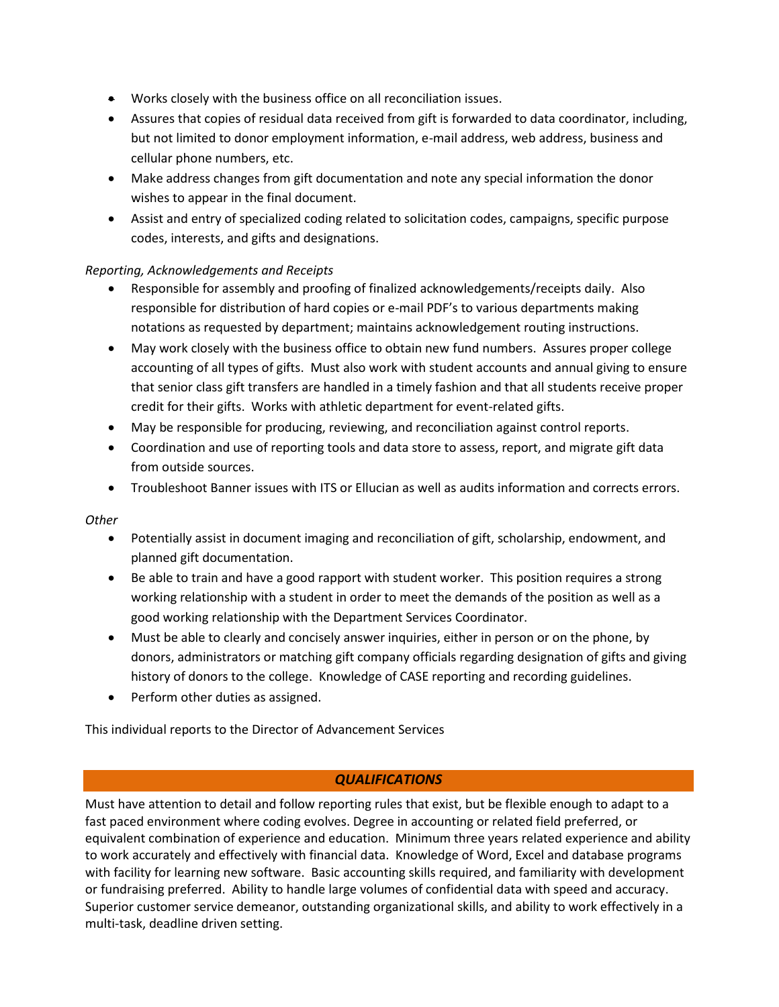- Works closely with the business office on all reconciliation issues.
- Assures that copies of residual data received from gift is forwarded to data coordinator, including, but not limited to donor employment information, e-mail address, web address, business and cellular phone numbers, etc.
- Make address changes from gift documentation and note any special information the donor wishes to appear in the final document.
- Assist and entry of specialized coding related to solicitation codes, campaigns, specific purpose codes, interests, and gifts and designations.

## *Reporting, Acknowledgements and Receipts*

- Responsible for assembly and proofing of finalized acknowledgements/receipts daily. Also responsible for distribution of hard copies or e-mail PDF's to various departments making notations as requested by department; maintains acknowledgement routing instructions.
- May work closely with the business office to obtain new fund numbers. Assures proper college accounting of all types of gifts. Must also work with student accounts and annual giving to ensure that senior class gift transfers are handled in a timely fashion and that all students receive proper credit for their gifts. Works with athletic department for event-related gifts.
- May be responsible for producing, reviewing, and reconciliation against control reports.
- Coordination and use of reporting tools and data store to assess, report, and migrate gift data from outside sources.
- Troubleshoot Banner issues with ITS or Ellucian as well as audits information and corrects errors.

## *Other*

- Potentially assist in document imaging and reconciliation of gift, scholarship, endowment, and planned gift documentation.
- Be able to train and have a good rapport with student worker. This position requires a strong working relationship with a student in order to meet the demands of the position as well as a good working relationship with the Department Services Coordinator.
- Must be able to clearly and concisely answer inquiries, either in person or on the phone, by donors, administrators or matching gift company officials regarding designation of gifts and giving history of donors to the college. Knowledge of CASE reporting and recording guidelines.
- Perform other duties as assigned.

This individual reports to the Director of Advancement Services

## *QUALIFICATIONS*

Must have attention to detail and follow reporting rules that exist, but be flexible enough to adapt to a fast paced environment where coding evolves. Degree in accounting or related field preferred, or equivalent combination of experience and education. Minimum three years related experience and ability to work accurately and effectively with financial data. Knowledge of Word, Excel and database programs with facility for learning new software. Basic accounting skills required, and familiarity with development or fundraising preferred. Ability to handle large volumes of confidential data with speed and accuracy. Superior customer service demeanor, outstanding organizational skills, and ability to work effectively in a multi-task, deadline driven setting.